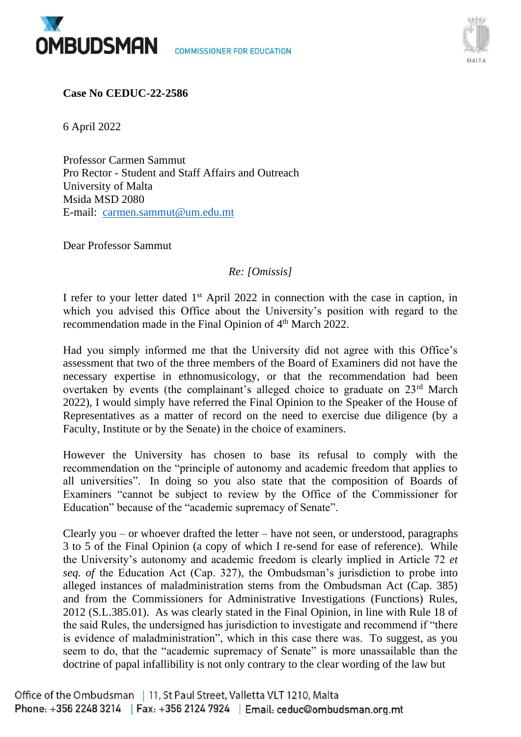



**Case No CEDUC-22-2586**

6 April 2022

Professor Carmen Sammut Pro Rector - Student and Staff Affairs and Outreach University of Malta Msida MSD 2080 E-mail: [carmen.sammut@um.edu.mt](mailto:carmen.sammut@um.edu.mt)

Dear Professor Sammut

## *Re: [Omissis]*

I refer to your letter dated  $1<sup>st</sup>$  April 2022 in connection with the case in caption, in which you advised this Office about the University's position with regard to the recommendation made in the Final Opinion of 4th March 2022.

Had you simply informed me that the University did not agree with this Office's assessment that two of the three members of the Board of Examiners did not have the necessary expertise in ethnomusicology, or that the recommendation had been overtaken by events (the complainant's alleged choice to graduate on 23rd March 2022), I would simply have referred the Final Opinion to the Speaker of the House of Representatives as a matter of record on the need to exercise due diligence (by a Faculty, Institute or by the Senate) in the choice of examiners.

However the University has chosen to base its refusal to comply with the recommendation on the "principle of autonomy and academic freedom that applies to all universities". In doing so you also state that the composition of Boards of Examiners "cannot be subject to review by the Office of the Commissioner for Education" because of the "academic supremacy of Senate".

Clearly you – or whoever drafted the letter – have not seen, or understood, paragraphs 3 to 5 of the Final Opinion (a copy of which I re-send for ease of reference). While the University's autonomy and academic freedom is clearly implied in Article 72 *et seq. of* the Education Act (Cap. 327), the Ombudsman's jurisdiction to probe into alleged instances of maladministration stems from the Ombudsman Act (Cap. 385) and from the Commissioners for Administrative Investigations (Functions) Rules, 2012 (S.L.385.01). As was clearly stated in the Final Opinion, in line with Rule 18 of the said Rules, the undersigned has jurisdiction to investigate and recommend if "there is evidence of maladministration", which in this case there was. To suggest, as you seem to do, that the "academic supremacy of Senate" is more unassailable than the doctrine of papal infallibility is not only contrary to the clear wording of the law but